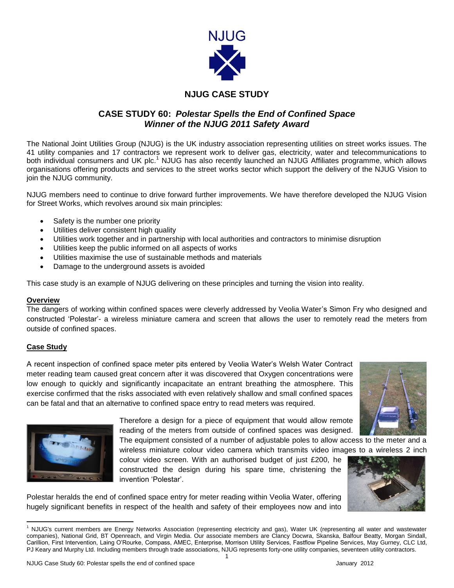

# **NJUG CASE STUDY**

# **CASE STUDY 60:** *Polestar Spells the End of Confined Space Winner of the NJUG 2011 Safety Award*

The National Joint Utilities Group (NJUG) is the UK industry association representing utilities on street works issues. The 41 utility companies and 17 contractors we represent work to deliver gas, electricity, water and telecommunications to both individual consumers and UK plc.<sup>1</sup> NJUG has also recently launched an NJUG Affiliates programme, which allows organisations offering products and services to the street works sector which support the delivery of the NJUG Vision to join the NJUG community.

NJUG members need to continue to drive forward further improvements. We have therefore developed the NJUG Vision for Street Works, which revolves around six main principles:

- Safety is the number one priority
- Utilities deliver consistent high quality
- Utilities work together and in partnership with local authorities and contractors to minimise disruption
- Utilities keep the public informed on all aspects of works
- Utilities maximise the use of sustainable methods and materials
- Damage to the underground assets is avoided

This case study is an example of NJUG delivering on these principles and turning the vision into reality.

#### **Overview**

The dangers of working within confined spaces were cleverly addressed by Veolia Water's Simon Fry who designed and constructed 'Polestar'- a wireless miniature camera and screen that allows the user to remotely read the meters from outside of confined spaces.

### **Case Study**

A recent inspection of confined space meter pits entered by Veolia Water's Welsh Water Contract meter reading team caused great concern after it was discovered that Oxygen concentrations were low enough to quickly and significantly incapacitate an entrant breathing the atmosphere. This exercise confirmed that the risks associated with even relatively shallow and small confined spaces can be fatal and that an alternative to confined space entry to read meters was required.





Therefore a design for a piece of equipment that would allow remote reading of the meters from outside of confined spaces was designed.

The equipment consisted of a number of adjustable poles to allow access to the meter and a wireless miniature colour video camera which transmits video images to a wireless 2 inch

colour video screen. With an authorised budget of just £200, he constructed the design during his spare time, christening the invention 'Polestar'.



Polestar heralds the end of confined space entry for meter reading within Veolia Water, offering hugely significant benefits in respect of the health and safety of their employees now and into

1

 $\overline{\phantom{a}}$ <sup>1</sup> NJUG's current members are Energy Networks Association (representing electricity and gas), Water UK (representing all water and wastewater companies), National Grid, BT Openreach, and Virgin Media. Our associate members are Clancy Docwra, Skanska, Balfour Beatty, Morgan Sindall, Carillion, First Intervention, Laing O'Rourke, Compass, AMEC, Enterprise, Morrison Utility Services, Fastflow Pipeline Services, May Gurney, CLC Ltd, PJ Keary and Murphy Ltd. Including members through trade associations, NJUG represents forty-one utility companies, seventeen utility contractors.